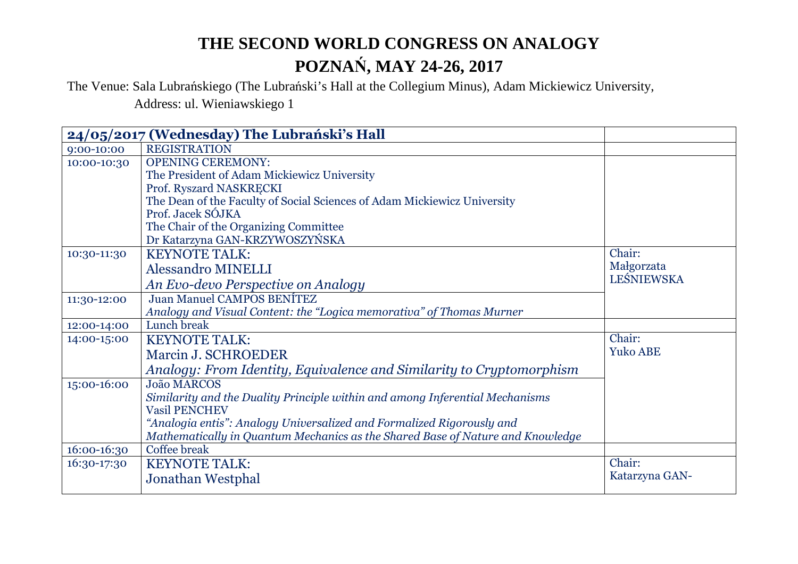The Venue: Sala Lubrańskiego (The Lubrański's Hall at the Collegium Minus), Adam Mickiewicz University, Address: ul. Wieniawskiego 1

|             | 24/05/2017 (Wednesday) The Lubrański's Hall                                    |                 |
|-------------|--------------------------------------------------------------------------------|-----------------|
| 9:00-10:00  | <b>REGISTRATION</b>                                                            |                 |
| 10:00-10:30 | <b>OPENING CEREMONY:</b>                                                       |                 |
|             | The President of Adam Mickiewicz University                                    |                 |
|             | Prof. Ryszard NASKRECKI                                                        |                 |
|             | The Dean of the Faculty of Social Sciences of Adam Mickiewicz University       |                 |
|             | Prof. Jacek SÓJKA                                                              |                 |
|             | The Chair of the Organizing Committee                                          |                 |
|             | Dr Katarzyna GAN-KRZYWOSZYŃSKA                                                 |                 |
| 10:30-11:30 | <b>KEYNOTE TALK:</b>                                                           | Chair:          |
|             | <b>Alessandro MINELLI</b>                                                      | Małgorzata      |
|             | An Evo-devo Perspective on Analogy                                             | LEŚNIEWSKA      |
| 11:30-12:00 | <b>Juan Manuel CAMPOS BENÍTEZ</b>                                              |                 |
|             | Analogy and Visual Content: the "Logica memorativa" of Thomas Murner           |                 |
| 12:00-14:00 | Lunch break                                                                    |                 |
| 14:00-15:00 | <b>KEYNOTE TALK:</b>                                                           | Chair:          |
|             | Marcin J. SCHROEDER                                                            | <b>Yuko ABE</b> |
|             | Analogy: From Identity, Equivalence and Similarity to Cryptomorphism           |                 |
| 15:00-16:00 | <b>João MARCOS</b>                                                             |                 |
|             | Similarity and the Duality Principle within and among Inferential Mechanisms   |                 |
|             | <b>Vasil PENCHEV</b>                                                           |                 |
|             | "Analogia entis": Analogy Universalized and Formalized Rigorously and          |                 |
|             | Mathematically in Quantum Mechanics as the Shared Base of Nature and Knowledge |                 |
| 16:00-16:30 | Coffee break                                                                   |                 |
| 16:30-17:30 | <b>KEYNOTE TALK:</b>                                                           | Chair:          |
|             | Jonathan Westphal                                                              | Katarzyna GAN-  |
|             |                                                                                |                 |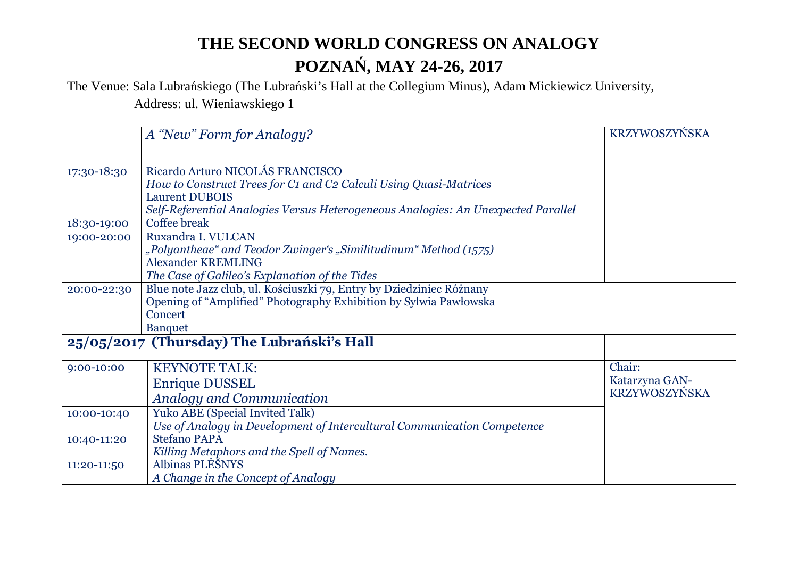The Venue: Sala Lubrańskiego (The Lubrański's Hall at the Collegium Minus), Adam Mickiewicz University, Address: ul. Wieniawskiego 1

|             | A "New" Form for Analogy?                                                                                                                                                                                           | KRZYWOSZYŃSKA                             |
|-------------|---------------------------------------------------------------------------------------------------------------------------------------------------------------------------------------------------------------------|-------------------------------------------|
| 17:30-18:30 | Ricardo Arturo NICOLÁS FRANCISCO<br>How to Construct Trees for C1 and C2 Calculi Using Quasi-Matrices<br><b>Laurent DUBOIS</b><br>Self-Referential Analogies Versus Heterogeneous Analogies: An Unexpected Parallel |                                           |
| 18:30-19:00 | <b>Coffee break</b>                                                                                                                                                                                                 |                                           |
| 19:00-20:00 | Ruxandra I. VULCAN<br>"Polyantheae" and Teodor Zwinger's "Similitudinum" Method (1575)<br><b>Alexander KREMLING</b><br>The Case of Galileo's Explanation of the Tides                                               |                                           |
| 20:00-22:30 | Blue note Jazz club, ul. Kościuszki 79, Entry by Dziedziniec Różnany<br>Opening of "Amplified" Photography Exhibition by Sylwia Pawłowska<br>Concert<br><b>Banquet</b>                                              |                                           |
|             | 25/05/2017 (Thursday) The Lubrański's Hall                                                                                                                                                                          |                                           |
| 9:00-10:00  | <b>KEYNOTE TALK:</b><br><b>Enrique DUSSEL</b><br><b>Analogy and Communication</b>                                                                                                                                   | Chair:<br>Katarzyna GAN-<br>KRZYWOSZYŃSKA |
| 10:00-10:40 | <b>Yuko ABE (Special Invited Talk)</b><br>Use of Analogy in Development of Intercultural Communication Competence                                                                                                   |                                           |
| 10:40-11:20 | <b>Stefano PAPA</b><br>Killing Metaphors and the Spell of Names.                                                                                                                                                    |                                           |
| 11:20-11:50 | Albinas PLĖŠNYS<br>A Change in the Concept of Analogy                                                                                                                                                               |                                           |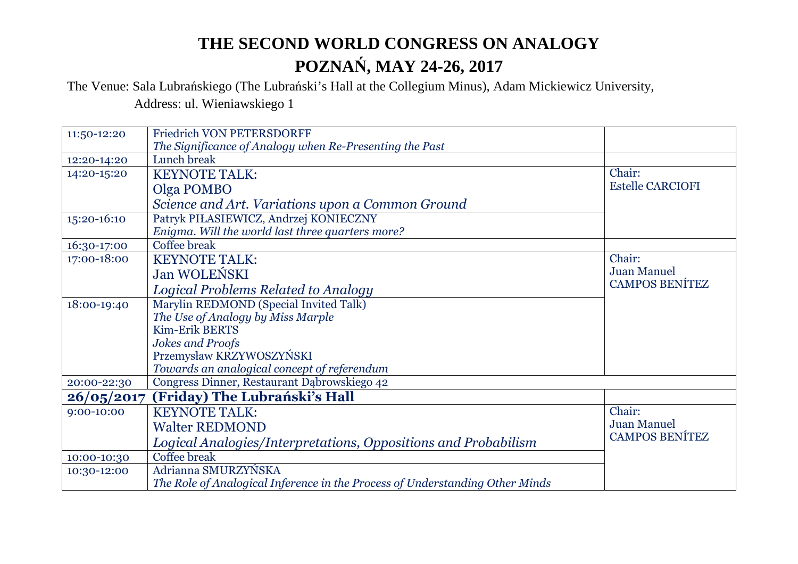The Venue: Sala Lubrańskiego (The Lubrański's Hall at the Collegium Minus), Adam Mickiewicz University,

Address: ul. Wieniawskiego 1

| 11:50-12:20 | <b>Friedrich VON PETERSDORFF</b>                                             |                         |
|-------------|------------------------------------------------------------------------------|-------------------------|
|             | The Significance of Analogy when Re-Presenting the Past                      |                         |
| 12:20-14:20 | Lunch break                                                                  |                         |
| 14:20-15:20 | <b>KEYNOTE TALK:</b>                                                         | Chair:                  |
|             | Olga POMBO                                                                   | <b>Estelle CARCIOFI</b> |
|             | Science and Art. Variations upon a Common Ground                             |                         |
| 15:20-16:10 | Patryk PIŁASIEWICZ, Andrzej KONIECZNY                                        |                         |
|             | Enigma. Will the world last three quarters more?                             |                         |
| 16:30-17:00 | Coffee break                                                                 |                         |
| 17:00-18:00 | <b>KEYNOTE TALK:</b>                                                         | Chair:                  |
|             | <b>Jan WOLEŃSKI</b>                                                          | <b>Juan Manuel</b>      |
|             | Logical Problems Related to Analogy                                          | <b>CAMPOS BENÍTEZ</b>   |
| 18:00-19:40 | Marylin REDMOND (Special Invited Talk)                                       |                         |
|             | The Use of Analogy by Miss Marple                                            |                         |
|             | <b>Kim-Erik BERTS</b>                                                        |                         |
|             | <b>Jokes and Proofs</b>                                                      |                         |
|             | Przemysław KRZYWOSZYŃSKI                                                     |                         |
|             | Towards an analogical concept of referendum                                  |                         |
| 20:00-22:30 | Congress Dinner, Restaurant Dąbrowskiego 42                                  |                         |
| 26/05/2017  | (Friday) The Lubrański's Hall                                                |                         |
| 9:00-10:00  | <b>KEYNOTE TALK:</b>                                                         | Chair:                  |
|             | <b>Walter REDMOND</b>                                                        | <b>Juan Manuel</b>      |
|             | Logical Analogies/Interpretations, Oppositions and Probabilism               | <b>CAMPOS BENÍTEZ</b>   |
| 10:00-10:30 | <b>Coffee break</b>                                                          |                         |
| 10:30-12:00 | Adrianna SMURZYŃSKA                                                          |                         |
|             | The Role of Analogical Inference in the Process of Understanding Other Minds |                         |